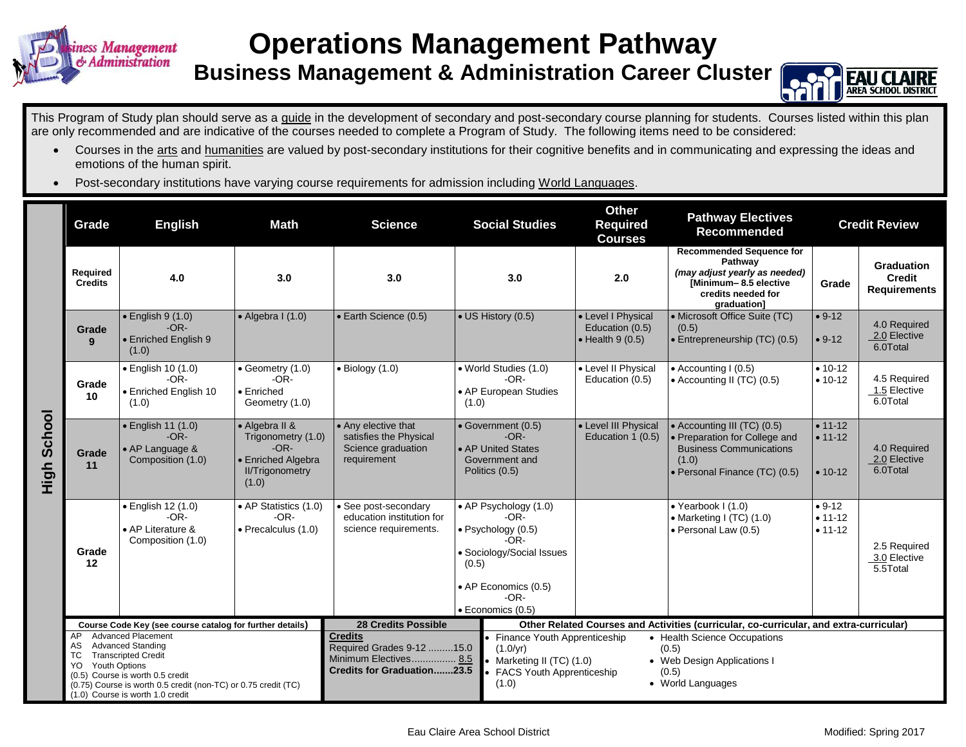

## **Operations Management Pathway**

**Business Management & Administration Career Cluster**



This Program of Study plan should serve as a guide in the development of secondary and post-secondary course planning for students. Courses listed within this plan are only recommended and are indicative of the courses needed to complete a Program of Study. The following items need to be considered:

- Courses in the arts and humanities are valued by post-secondary institutions for their cognitive benefits and in communicating and expressing the ideas and emotions of the human spirit.
- Post-secondary institutions have varying course requirements for admission including World Languages.

|                | Grade                                                                                                                                                                                                                                       | <b>English</b><br>Math                                                                                                                                                                                                                                                |                                                                                       | <b>Science</b>                                                                                                                                                                                                                                      | <b>Social Studies</b>                                                                                                                                        |                                           | <b>Other</b><br><b>Required</b><br><b>Courses</b>                                                                                                      | <b>Pathway Electives</b><br>Recommended                                                                                                   | <b>Credit Review</b>                     |                                                    |  |
|----------------|---------------------------------------------------------------------------------------------------------------------------------------------------------------------------------------------------------------------------------------------|-----------------------------------------------------------------------------------------------------------------------------------------------------------------------------------------------------------------------------------------------------------------------|---------------------------------------------------------------------------------------|-----------------------------------------------------------------------------------------------------------------------------------------------------------------------------------------------------------------------------------------------------|--------------------------------------------------------------------------------------------------------------------------------------------------------------|-------------------------------------------|--------------------------------------------------------------------------------------------------------------------------------------------------------|-------------------------------------------------------------------------------------------------------------------------------------------|------------------------------------------|----------------------------------------------------|--|
|                | Required<br><b>Credits</b>                                                                                                                                                                                                                  | 4.0<br>3.0                                                                                                                                                                                                                                                            |                                                                                       | 3.0                                                                                                                                                                                                                                                 | 3.0                                                                                                                                                          |                                           | 2.0                                                                                                                                                    | <b>Recommended Sequence for</b><br>Pathway<br>(may adjust yearly as needed)<br>[Minimum-8.5 elective<br>credits needed for<br>graduation] | Grade                                    | <b>Graduation</b><br>Credit<br><b>Requirements</b> |  |
|                | Grade<br>9                                                                                                                                                                                                                                  | $\bullet$ English 9 (1.0)<br>$-OR-$<br>• Enriched English 9<br>(1.0)                                                                                                                                                                                                  | $\bullet$ Algebra I (1.0)                                                             | • Earth Science (0.5)                                                                                                                                                                                                                               | • US History (0.5)                                                                                                                                           |                                           | • Level I Physical<br>Education (0.5)<br>$\bullet$ Health 9 (0.5)                                                                                      | • Microsoft Office Suite (TC)<br>(0.5)<br>$\cdot$ Entrepreneurship (TC) (0.5)                                                             | $• 9-12$<br>$• 9-12$                     | 4.0 Required<br>2.0 Elective<br>6.0Total           |  |
|                | Grade<br>10                                                                                                                                                                                                                                 | • English 10 (1.0)<br>$-OR-$<br><b>Enriched English 10</b><br>(1.0)                                                                                                                                                                                                   | • Geometry (1.0)<br>$\bullet$ Biology (1.0)<br>$-OR-$<br>• Enriched<br>Geometry (1.0) |                                                                                                                                                                                                                                                     | • World Studies (1.0)<br>$-OR-$<br>• AP European Studies<br>(1.0)                                                                                            |                                           | • Level II Physical<br>Education (0.5)                                                                                                                 | • Accounting I (0.5)<br>• Accounting II (TC) (0.5)                                                                                        | $• 10-12$<br>$• 10-12$                   | 4.5 Required<br>1.5 Elective<br>6.0Total           |  |
| School<br>High | Grade<br>11                                                                                                                                                                                                                                 | · English 11 (1.0)<br>• Algebra II &<br>• Any elective that<br>$-OR-$<br>Trigonometry (1.0)<br>satisfies the Physical<br>$-OR-$<br>Science graduation<br>• AP Language &<br>Composition (1.0)<br>• Enriched Algebra<br>requirement<br><b>II/Trigonometry</b><br>(1.0) |                                                                                       | • Government (0.5)<br>$-OR-$<br>• AP United States<br>Government and<br>Politics (0.5)                                                                                                                                                              |                                                                                                                                                              | • Level III Physical<br>Education 1 (0.5) | • Accounting III (TC) (0.5)<br>• Preparation for College and<br><b>Business Communications</b><br>(1.0)<br>· Personal Finance (TC) (0.5)               | $• 11 - 12$<br>$• 11 - 12$<br>$• 10-12$                                                                                                   | 4.0 Required<br>2.0 Elective<br>6.0Total |                                                    |  |
|                | Grade<br>12                                                                                                                                                                                                                                 | • English 12 (1.0)<br>$-OR-$<br>• AP Literature &<br>Composition (1.0)                                                                                                                                                                                                | • AP Statistics (1.0)<br>$-OR-$<br>· Precalculus (1.0)                                | • See post-secondary<br>education institution for<br>science requirements.                                                                                                                                                                          | • AP Psychology (1.0)<br>$-OR-$<br>· Psychology (0.5)<br>$-OR-$<br>· Sociology/Social Issues<br>(0.5)<br>• AP Economics (0.5)<br>$-OR-$<br>· Economics (0.5) |                                           |                                                                                                                                                        | • Yearbook $1(1.0)$<br>• Marketing I (TC) (1.0)<br>· Personal Law (0.5)                                                                   | $• 9-12$<br>$• 11 - 12$<br>$• 11 - 12$   | 2.5 Required<br>3.0 Elective<br>5.5Total           |  |
|                | Course Code Key (see course catalog for further details)<br><b>Advanced Placement</b><br>AP                                                                                                                                                 |                                                                                                                                                                                                                                                                       |                                                                                       | <b>28 Credits Possible</b><br><b>Credits</b>                                                                                                                                                                                                        |                                                                                                                                                              |                                           | Other Related Courses and Activities (curricular, co-curricular, and extra-curricular)<br>Finance Youth Apprenticeship<br>• Health Science Occupations |                                                                                                                                           |                                          |                                                    |  |
|                | <b>Advanced Standing</b><br>AS.<br><b>Transcripted Credit</b><br>ТC<br><b>Youth Options</b><br>YO<br>(0.5) Course is worth 0.5 credit<br>(0.75) Course is worth 0.5 credit (non-TC) or 0.75 credit (TC)<br>(1.0) Course is worth 1.0 credit |                                                                                                                                                                                                                                                                       |                                                                                       | Required Grades 9-12 15.0<br>$(1.0/\text{yr})$<br>(0.5)<br>Minimum Electives 8.5<br>Marketing II (TC) (1.0)<br>• Web Design Applications I<br><b>Credits for Graduation23.5</b><br>(0.5)<br>FACS Youth Apprenticeship<br>• World Languages<br>(1.0) |                                                                                                                                                              |                                           |                                                                                                                                                        |                                                                                                                                           |                                          |                                                    |  |